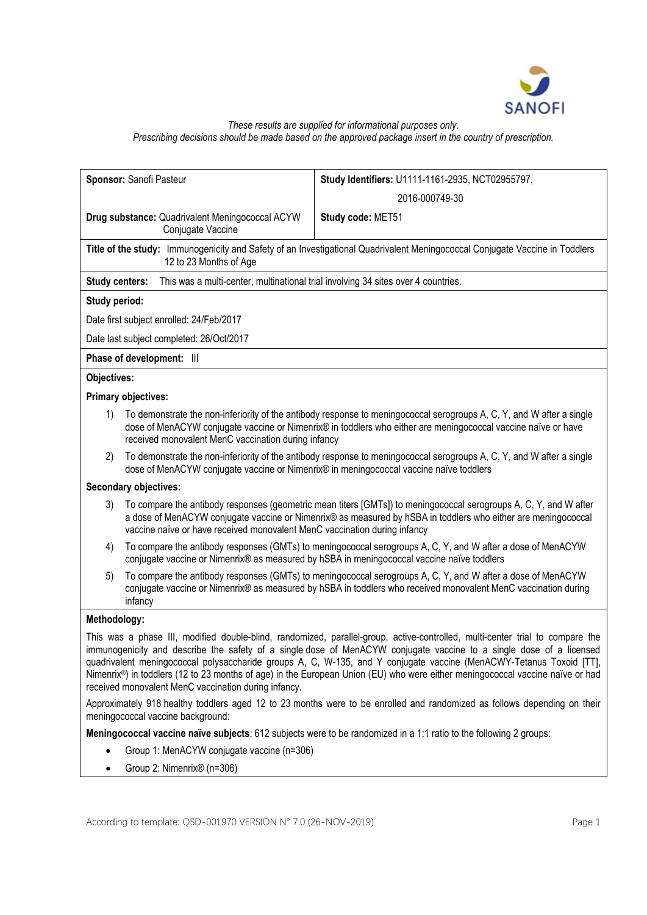

# *These results are supplied for informational purposes only. Prescribing decisions should be made based on the approved package insert in the country of prescription.*

|                       | Sponsor: Sanofi Pasteur                                                                | Study Identifiers: U1111-1161-2935, NCT02955797,                                                                                                                                                                                                                                                                                                                                                                                                                                                             |  |  |  |  |
|-----------------------|----------------------------------------------------------------------------------------|--------------------------------------------------------------------------------------------------------------------------------------------------------------------------------------------------------------------------------------------------------------------------------------------------------------------------------------------------------------------------------------------------------------------------------------------------------------------------------------------------------------|--|--|--|--|
|                       |                                                                                        | 2016-000749-30                                                                                                                                                                                                                                                                                                                                                                                                                                                                                               |  |  |  |  |
|                       | Drug substance: Quadrivalent Meningococcal ACYW<br>Conjugate Vaccine                   | Study code: MET51                                                                                                                                                                                                                                                                                                                                                                                                                                                                                            |  |  |  |  |
|                       | 12 to 23 Months of Age                                                                 | Title of the study: Immunogenicity and Safety of an Investigational Quadrivalent Meningococcal Conjugate Vaccine in Toddlers                                                                                                                                                                                                                                                                                                                                                                                 |  |  |  |  |
| <b>Study centers:</b> | This was a multi-center, multinational trial involving 34 sites over 4 countries.      |                                                                                                                                                                                                                                                                                                                                                                                                                                                                                                              |  |  |  |  |
| Study period:         |                                                                                        |                                                                                                                                                                                                                                                                                                                                                                                                                                                                                                              |  |  |  |  |
|                       | Date first subject enrolled: 24/Feb/2017                                               |                                                                                                                                                                                                                                                                                                                                                                                                                                                                                                              |  |  |  |  |
|                       | Date last subject completed: 26/Oct/2017                                               |                                                                                                                                                                                                                                                                                                                                                                                                                                                                                                              |  |  |  |  |
|                       | Phase of development: III                                                              |                                                                                                                                                                                                                                                                                                                                                                                                                                                                                                              |  |  |  |  |
| Objectives:           |                                                                                        |                                                                                                                                                                                                                                                                                                                                                                                                                                                                                                              |  |  |  |  |
|                       | <b>Primary objectives:</b>                                                             |                                                                                                                                                                                                                                                                                                                                                                                                                                                                                                              |  |  |  |  |
| 1)                    | received monovalent MenC vaccination during infancy                                    | To demonstrate the non-inferiority of the antibody response to meningococcal serogroups A, C, Y, and W after a single<br>dose of MenACYW conjugate vaccine or Nimenrix® in toddlers who either are meningococcal vaccine naïve or have                                                                                                                                                                                                                                                                       |  |  |  |  |
| 2)                    | dose of MenACYW conjugate vaccine or Nimenrix® in meningococcal vaccine naïve toddlers | To demonstrate the non-inferiority of the antibody response to meningococcal serogroups A, C, Y, and W after a single                                                                                                                                                                                                                                                                                                                                                                                        |  |  |  |  |
|                       | <b>Secondary objectives:</b>                                                           |                                                                                                                                                                                                                                                                                                                                                                                                                                                                                                              |  |  |  |  |
| 3)                    | vaccine naïve or have received monovalent MenC vaccination during infancy              | To compare the antibody responses (geometric mean titers [GMTs]) to meningococcal serogroups A, C, Y, and W after<br>a dose of MenACYW conjugate vaccine or Nimenrix® as measured by hSBA in toddlers who either are meningococcal                                                                                                                                                                                                                                                                           |  |  |  |  |
| 4)                    |                                                                                        | To compare the antibody responses (GMTs) to meningococcal serogroups A, C, Y, and W after a dose of MenACYW<br>conjugate vaccine or Nimenrix® as measured by hSBA in meningococcal vaccine naïve toddlers                                                                                                                                                                                                                                                                                                    |  |  |  |  |
| 5)                    | infancy                                                                                | To compare the antibody responses (GMTs) to meningococcal serogroups A, C, Y, and W after a dose of MenACYW<br>conjugate vaccine or Nimenrix® as measured by hSBA in toddlers who received monovalent MenC vaccination during                                                                                                                                                                                                                                                                                |  |  |  |  |
| Methodology:          |                                                                                        |                                                                                                                                                                                                                                                                                                                                                                                                                                                                                                              |  |  |  |  |
|                       | received monovalent MenC vaccination during infancy.                                   | This was a phase III, modified double-blind, randomized, parallel-group, active-controlled, multi-center trial to compare the<br>immunogenicity and describe the safety of a single dose of MenACYW conjugate vaccine to a single dose of a licensed<br>quadrivalent meningococcal polysaccharide groups A, C, W-135, and Y conjugate vaccine (MenACWY-Tetanus Toxoid [TT],<br>Nimenrix®) in toddlers (12 to 23 months of age) in the European Union (EU) who were either meningococcal vaccine naïve or had |  |  |  |  |
|                       | meningococcal vaccine background:                                                      | Approximately 918 healthy toddlers aged 12 to 23 months were to be enrolled and randomized as follows depending on their                                                                                                                                                                                                                                                                                                                                                                                     |  |  |  |  |
|                       |                                                                                        | Meningococcal vaccine naïve subjects: 612 subjects were to be randomized in a 1:1 ratio to the following 2 groups:                                                                                                                                                                                                                                                                                                                                                                                           |  |  |  |  |
|                       | Group 1: MenACYW conjugate vaccine (n=306)                                             |                                                                                                                                                                                                                                                                                                                                                                                                                                                                                                              |  |  |  |  |
|                       | Group 2: Nimenrix® (n=306)                                                             |                                                                                                                                                                                                                                                                                                                                                                                                                                                                                                              |  |  |  |  |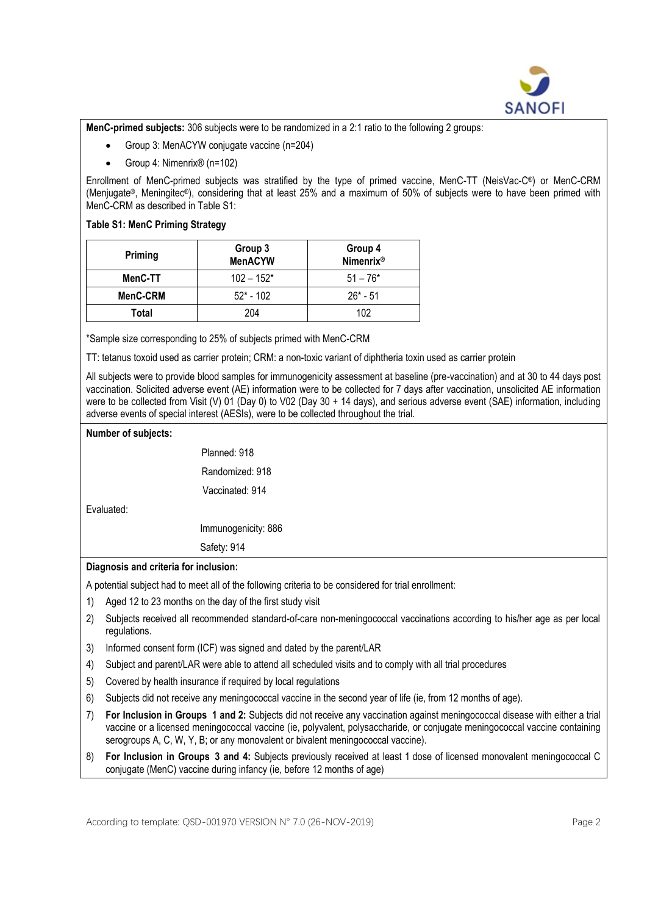

**MenC-primed subjects:** 306 subjects were to be randomized in a 2:1 ratio to the following 2 groups:

- Group 3: MenACYW conjugate vaccine (n=204)
- Group 4: Nimenrix® (n=102)

Enrollment of MenC-primed subjects was stratified by the type of primed vaccine, MenC-TT (NeisVac-C® ) or MenC-CRM (Menjugate® , Meningitec® ), considering that at least 25% and a maximum of 50% of subjects were to have been primed with MenC-CRM as described in Table S1:

### **Table S1: MenC Priming Strategy**

| Priming  | Group 3<br><b>MenACYW</b> | Group 4<br><b>Nimenrix<sup>®</sup></b> |  |  |
|----------|---------------------------|----------------------------------------|--|--|
| MenC-TT  | $102 - 152*$              | $51 - 76*$                             |  |  |
| MenC-CRM | $52* - 102$               | $26* - 51$                             |  |  |
| Total    | 204                       | 102                                    |  |  |

\*Sample size corresponding to 25% of subjects primed with MenC-CRM

TT: tetanus toxoid used as carrier protein; CRM: a non-toxic variant of diphtheria toxin used as carrier protein

All subjects were to provide blood samples for immunogenicity assessment at baseline (pre-vaccination) and at 30 to 44 days post vaccination. Solicited adverse event (AE) information were to be collected for 7 days after vaccination, unsolicited AE information were to be collected from Visit (V) 01 (Day 0) to V02 (Day 30 + 14 days), and serious adverse event (SAE) information, including adverse events of special interest (AESIs), were to be collected throughout the trial.

#### **Number of subjects:**

|            | Planned: 918        |
|------------|---------------------|
|            | Randomized: 918     |
|            | Vaccinated: 914     |
| Evaluated: |                     |
|            | Immunogenicity: 886 |
|            | Safety: 914         |

# **Diagnosis and criteria for inclusion:**

A potential subject had to meet all of the following criteria to be considered for trial enrollment:

- 1) Aged 12 to 23 months on the day of the first study visit
- 2) Subjects received all recommended standard-of-care non-meningococcal vaccinations according to his/her age as per local regulations.
- 3) Informed consent form (ICF) was signed and dated by the parent/LAR
- 4) Subject and parent/LAR were able to attend all scheduled visits and to comply with all trial procedures
- 5) Covered by health insurance if required by local regulations
- 6) Subjects did not receive any meningococcal vaccine in the second year of life (ie, from 12 months of age).
- 7) **For Inclusion in Groups 1 and 2:** Subjects did not receive any vaccination against meningococcal disease with either a trial vaccine or a licensed meningococcal vaccine (ie, polyvalent, polysaccharide, or conjugate meningococcal vaccine containing serogroups A, C, W, Y, B; or any monovalent or bivalent meningococcal vaccine).
- 8) **For Inclusion in Groups 3 and 4:** Subjects previously received at least 1 dose of licensed monovalent meningococcal C conjugate (MenC) vaccine during infancy (ie, before 12 months of age)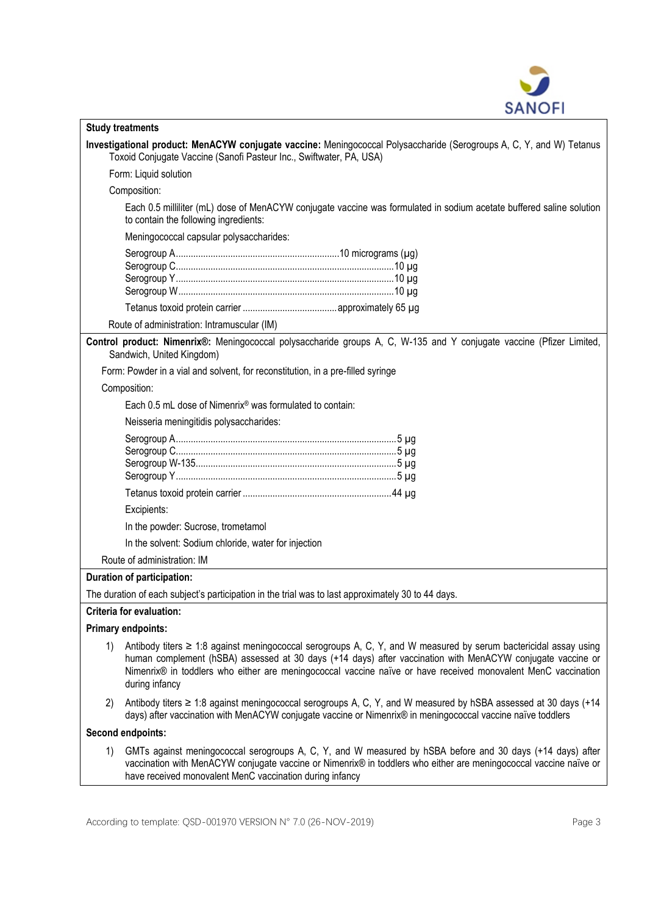

| <b>Study treatments</b>                                                                                                                                                                                                                                                                                                                                                      |
|------------------------------------------------------------------------------------------------------------------------------------------------------------------------------------------------------------------------------------------------------------------------------------------------------------------------------------------------------------------------------|
| Investigational product: MenACYW conjugate vaccine: Meningococcal Polysaccharide (Serogroups A, C, Y, and W) Tetanus<br>Toxoid Conjugate Vaccine (Sanofi Pasteur Inc., Swiftwater, PA, USA)                                                                                                                                                                                  |
| Form: Liquid solution                                                                                                                                                                                                                                                                                                                                                        |
| Composition:                                                                                                                                                                                                                                                                                                                                                                 |
| Each 0.5 milliliter (mL) dose of MenACYW conjugate vaccine was formulated in sodium acetate buffered saline solution<br>to contain the following ingredients:                                                                                                                                                                                                                |
| Meningococcal capsular polysaccharides:                                                                                                                                                                                                                                                                                                                                      |
|                                                                                                                                                                                                                                                                                                                                                                              |
|                                                                                                                                                                                                                                                                                                                                                                              |
|                                                                                                                                                                                                                                                                                                                                                                              |
|                                                                                                                                                                                                                                                                                                                                                                              |
| Route of administration: Intramuscular (IM)                                                                                                                                                                                                                                                                                                                                  |
| Control product: Nimenrix®: Meningococcal polysaccharide groups A, C, W-135 and Y conjugate vaccine (Pfizer Limited,<br>Sandwich, United Kingdom)                                                                                                                                                                                                                            |
| Form: Powder in a vial and solvent, for reconstitution, in a pre-filled syringe                                                                                                                                                                                                                                                                                              |
| Composition:                                                                                                                                                                                                                                                                                                                                                                 |
| Each 0.5 mL dose of Nimenrix <sup>®</sup> was formulated to contain:                                                                                                                                                                                                                                                                                                         |
| Neisseria meningitidis polysaccharides:                                                                                                                                                                                                                                                                                                                                      |
|                                                                                                                                                                                                                                                                                                                                                                              |
|                                                                                                                                                                                                                                                                                                                                                                              |
|                                                                                                                                                                                                                                                                                                                                                                              |
|                                                                                                                                                                                                                                                                                                                                                                              |
| Excipients:                                                                                                                                                                                                                                                                                                                                                                  |
| In the powder: Sucrose, trometamol                                                                                                                                                                                                                                                                                                                                           |
| In the solvent: Sodium chloride, water for injection                                                                                                                                                                                                                                                                                                                         |
| Route of administration: IM                                                                                                                                                                                                                                                                                                                                                  |
| Duration of participation:                                                                                                                                                                                                                                                                                                                                                   |
| The duration of each subject's participation in the trial was to last approximately 30 to 44 days.                                                                                                                                                                                                                                                                           |
| <b>Criteria for evaluation:</b>                                                                                                                                                                                                                                                                                                                                              |
| <b>Primary endpoints:</b>                                                                                                                                                                                                                                                                                                                                                    |
| Antibody titers $\geq 1.8$ against meningococcal serogroups A, C, Y, and W measured by serum bactericidal assay using<br>1)<br>human complement (hSBA) assessed at 30 days (+14 days) after vaccination with MenACYW conjugate vaccine or<br>Nimenrix® in toddlers who either are meningococcal vaccine naïve or have received monovalent MenC vaccination<br>during infancy |
| Antibody titers ≥ 1:8 against meningococcal serogroups A, C, Y, and W measured by hSBA assessed at 30 days (+14<br>2)<br>days) after vaccination with MenACYW conjugate vaccine or Nimenrix® in meningococcal vaccine naïve toddlers                                                                                                                                         |
| Second endpoints:                                                                                                                                                                                                                                                                                                                                                            |
| GMTs against meningococcal serogroups A, C, Y, and W measured by hSBA before and 30 days (+14 days) after<br>1)<br>vaccination with MenACYW conjugate vaccine or Nimenrix® in toddlers who either are meningococcal vaccine naïve or<br>have received monovalent MenC vaccination during infancy                                                                             |

 $\mathsf{l}$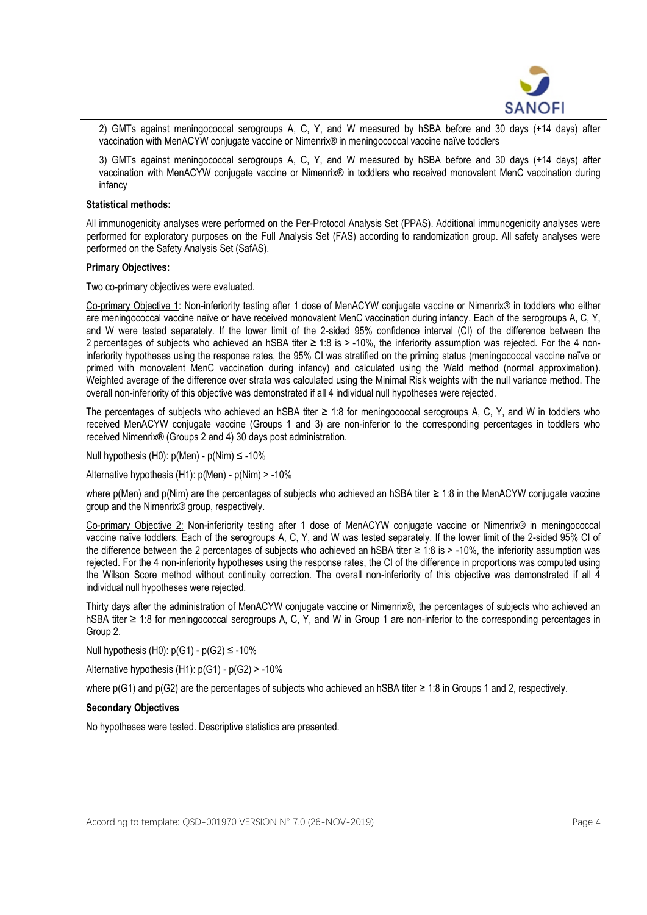

2) GMTs against meningococcal serogroups A, C, Y, and W measured by hSBA before and 30 days (+14 days) after vaccination with MenACYW conjugate vaccine or Nimenrix® in meningococcal vaccine naïve toddlers

3) GMTs against meningococcal serogroups A, C, Y, and W measured by hSBA before and 30 days (+14 days) after vaccination with MenACYW conjugate vaccine or Nimenrix® in toddlers who received monovalent MenC vaccination during infancy

#### **Statistical methods:**

All immunogenicity analyses were performed on the Per-Protocol Analysis Set (PPAS). Additional immunogenicity analyses were performed for exploratory purposes on the Full Analysis Set (FAS) according to randomization group. All safety analyses were performed on the Safety Analysis Set (SafAS).

### **Primary Objectives:**

Two co-primary objectives were evaluated.

Co-primary Objective 1: Non-inferiority testing after 1 dose of MenACYW conjugate vaccine or Nimenrix® in toddlers who either are meningococcal vaccine naïve or have received monovalent MenC vaccination during infancy. Each of the serogroups A, C, Y, and W were tested separately. If the lower limit of the 2-sided 95% confidence interval (CI) of the difference between the 2 percentages of subjects who achieved an hSBA titer ≥ 1:8 is > -10%, the inferiority assumption was rejected. For the 4 noninferiority hypotheses using the response rates, the 95% CI was stratified on the priming status (meningococcal vaccine naïve or primed with monovalent MenC vaccination during infancy) and calculated using the Wald method (normal approximation). Weighted average of the difference over strata was calculated using the Minimal Risk weights with the null variance method. The overall non-inferiority of this objective was demonstrated if all 4 individual null hypotheses were rejected.

The percentages of subjects who achieved an hSBA titer ≥ 1:8 for meningococcal serogroups A, C, Y, and W in toddlers who received MenACYW conjugate vaccine (Groups 1 and 3) are non-inferior to the corresponding percentages in toddlers who received Nimenrix® (Groups 2 and 4) 30 days post administration.

Null hypothesis (H0):  $p(Men) - p(Nim) \le -10\%$ 

Alternative hypothesis (H1): p(Men) - p(Nim) > -10%

where p(Men) and p(Nim) are the percentages of subjects who achieved an hSBA titer ≥ 1:8 in the MenACYW conjugate vaccine group and the Nimenrix® group, respectively.

Co-primary Objective 2: Non-inferiority testing after 1 dose of MenACYW conjugate vaccine or Nimenrix® in meningococcal vaccine naïve toddlers. Each of the serogroups A, C, Y, and W was tested separately. If the lower limit of the 2-sided 95% CI of the difference between the 2 percentages of subjects who achieved an hSBA titer ≥ 1:8 is > -10%, the inferiority assumption was rejected. For the 4 non-inferiority hypotheses using the response rates, the CI of the difference in proportions was computed using the Wilson Score method without continuity correction. The overall non-inferiority of this objective was demonstrated if all 4 individual null hypotheses were rejected.

Thirty days after the administration of MenACYW conjugate vaccine or Nimenrix® , the percentages of subjects who achieved an hSBA titer ≥ 1:8 for meningococcal serogroups A, C, Y, and W in Group 1 are non-inferior to the corresponding percentages in Group 2.

Null hypothesis  $(H0)$ :  $p(G1) - p(G2) \le -10\%$ 

Alternative hypothesis  $(H1)$ :  $p(G1) - p(G2) > -10\%$ 

where  $p(G1)$  and  $p(G2)$  are the percentages of subjects who achieved an hSBA titer  $\geq 1:8$  in Groups 1 and 2, respectively.

### **Secondary Objectives**

No hypotheses were tested. Descriptive statistics are presented.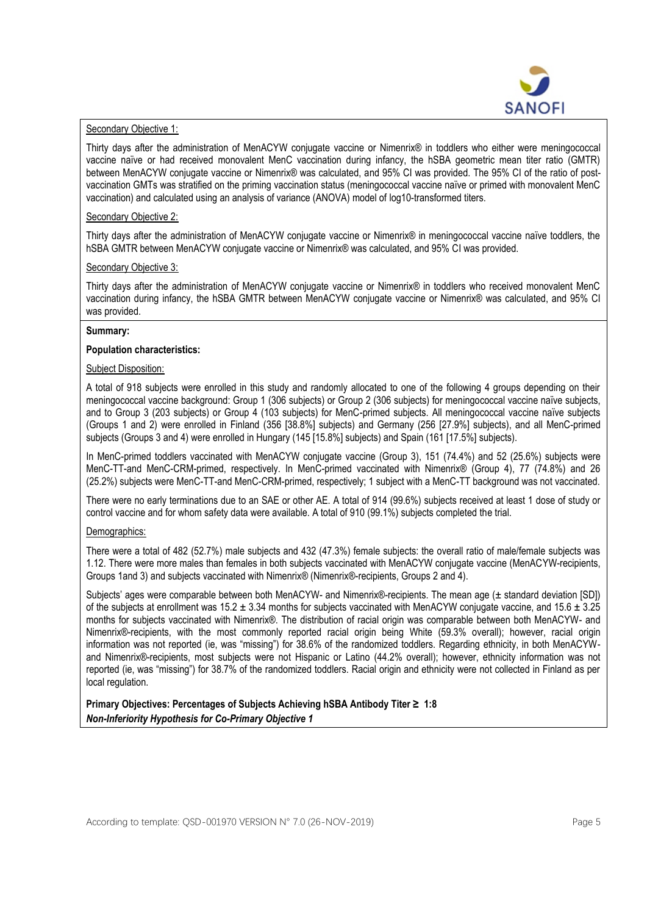

#### Secondary Objective 1:

Thirty days after the administration of MenACYW conjugate vaccine or Nimenrix® in toddlers who either were meningococcal vaccine naïve or had received monovalent MenC vaccination during infancy, the hSBA geometric mean titer ratio (GMTR) between MenACYW conjugate vaccine or Nimenrix® was calculated, and 95% CI was provided. The 95% CI of the ratio of postvaccination GMTs was stratified on the priming vaccination status (meningococcal vaccine naïve or primed with monovalent MenC vaccination) and calculated using an analysis of variance (ANOVA) model of log10-transformed titers.

#### Secondary Objective 2:

Thirty days after the administration of MenACYW conjugate vaccine or Nimenrix® in meningococcal vaccine naïve toddlers, the hSBA GMTR between MenACYW conjugate vaccine or Nimenrix® was calculated, and 95% CI was provided.

#### Secondary Objective 3:

Thirty days after the administration of MenACYW conjugate vaccine or Nimenrix® in toddlers who received monovalent MenC vaccination during infancy, the hSBA GMTR between MenACYW conjugate vaccine or Nimenrix® was calculated, and 95% CI was provided.

#### **Summary:**

### **Population characteristics:**

#### Subject Disposition:

A total of 918 subjects were enrolled in this study and randomly allocated to one of the following 4 groups depending on their meningococcal vaccine background: Group 1 (306 subjects) or Group 2 (306 subjects) for meningococcal vaccine naïve subjects, and to Group 3 (203 subjects) or Group 4 (103 subjects) for MenC-primed subjects. All meningococcal vaccine naïve subjects (Groups 1 and 2) were enrolled in Finland (356 [38.8%] subjects) and Germany (256 [27.9%] subjects), and all MenC-primed subjects (Groups 3 and 4) were enrolled in Hungary (145 [15.8%] subjects) and Spain (161 [17.5%] subjects).

In MenC-primed toddlers vaccinated with MenACYW conjugate vaccine (Group 3), 151 (74.4%) and 52 (25.6%) subjects were MenC-TT-and MenC-CRM-primed, respectively. In MenC-primed vaccinated with Nimenrix® (Group 4), 77 (74.8%) and 26 (25.2%) subjects were MenC-TT-and MenC-CRM-primed, respectively; 1 subject with a MenC-TT background was not vaccinated.

There were no early terminations due to an SAE or other AE. A total of 914 (99.6%) subjects received at least 1 dose of study or control vaccine and for whom safety data were available. A total of 910 (99.1%) subjects completed the trial.

#### Demographics:

There were a total of 482 (52.7%) male subjects and 432 (47.3%) female subjects: the overall ratio of male/female subjects was 1.12. There were more males than females in both subjects vaccinated with MenACYW conjugate vaccine (MenACYW-recipients, Groups 1and 3) and subjects vaccinated with Nimenrix® (Nimenrix® -recipients, Groups 2 and 4).

Subjects' ages were comparable between both MenACYW- and Nimenrix® -recipients. The mean age (± standard deviation [SD]) of the subjects at enrollment was  $15.2 \pm 3.34$  months for subjects vaccinated with MenACYW conjugate vaccine, and  $15.6 \pm 3.25$ months for subjects vaccinated with Nimenrix® . The distribution of racial origin was comparable between both MenACYW- and Nimenrix® -recipients, with the most commonly reported racial origin being White (59.3% overall); however, racial origin information was not reported (ie, was "missing") for 38.6% of the randomized toddlers. Regarding ethnicity, in both MenACYWand Nimenrix®-recipients, most subjects were not Hispanic or Latino (44.2% overall); however, ethnicity information was not reported (ie, was "missing") for 38.7% of the randomized toddlers. Racial origin and ethnicity were not collected in Finland as per local regulation.

**Primary Objectives: Percentages of Subjects Achieving hSBA Antibody Titer ≥ 1:8** *Non-Inferiority Hypothesis for Co-Primary Objective 1*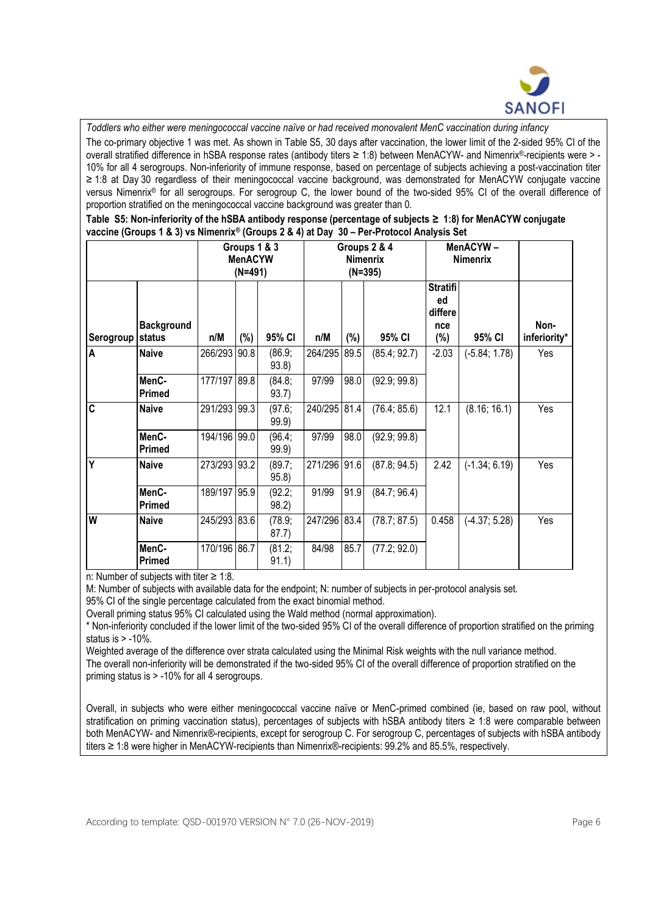

*Toddlers who either were meningococcal vaccine naïve or had received monovalent MenC vaccination during infancy* The co-primary objective 1 was met. As shown in Table S5, 30 days after vaccination, the lower limit of the 2-sided 95% CI of the overall stratified difference in hSBA response rates (antibody titers ≥ 1:8) between MenACYW- and Nimenrix®-recipients were > -10% for all 4 serogroups. Non-inferiority of immune response, based on percentage of subjects achieving a post-vaccination titer ≥ 1:8 at Day 30 regardless of their meningococcal vaccine background, was demonstrated for MenACYW conjugate vaccine versus Nimenrix® for all serogroups. For serogroup C, the lower bound of the two-sided 95% CI of the overall difference of proportion stratified on the meningococcal vaccine background was greater than 0.

|  |  |  |                                                                                          | Table S5: Non-inferiority of the hSBA antibody response (percentage of subjects ≥ 1:8) for MenACYW conjugate |  |
|--|--|--|------------------------------------------------------------------------------------------|--------------------------------------------------------------------------------------------------------------|--|
|  |  |  | vaccine (Groups 1 & 3) vs Nimenrix® (Groups 2 & 4) at Day 30 – Per-Protocol Analysis Set |                                                                                                              |  |

|           |                             | Groups 1 & 3<br><b>MenACYW</b><br>$(N=491)$ |        |                  | Groups 2 & 4<br><b>Nimenrix</b><br>$(N=395)$ |        |              | MenACYW-<br>Nimenrix                              |                 |                      |
|-----------|-----------------------------|---------------------------------------------|--------|------------------|----------------------------------------------|--------|--------------|---------------------------------------------------|-----------------|----------------------|
| Serogroup | <b>Background</b><br>status | n/M                                         | $(\%)$ | 95% CI           | n/M                                          | $(\%)$ | 95% CI       | <b>Stratifi</b><br>ed<br>differe<br>nce<br>$(\%)$ | 95% CI          | Non-<br>inferiority* |
| A         | <b>Naive</b>                | 266/293 90.8                                |        | (86.9;<br>93.8)  | 264/295 89.5                                 |        | (85.4; 92.7) | $-2.03$                                           | $(-5.84; 1.78)$ | Yes                  |
|           | MenC-<br><b>Primed</b>      | 177/197 89.8                                |        | (84.8;<br>93.7)  | 97/99                                        | 98.0   | (92.9; 99.8) |                                                   |                 |                      |
| C         | <b>Naive</b>                | 291/293 99.3                                |        | (97.6, )<br>99.9 | 240/295 81.4                                 |        | (76.4; 85.6) | 12.1                                              | (8.16; 16.1)    | Yes                  |
|           | MenC-<br><b>Primed</b>      | 194/196 99.0                                |        | (96.4;<br>99.9)  | 97/99                                        | 98.0   | (92.9; 99.8) |                                                   |                 |                      |
| Ý         | <b>Naive</b>                | 273/293 93.2                                |        | (89.7;<br>95.8)  | 271/296 91.6                                 |        | (87.8; 94.5) | 2.42                                              | $(-1.34; 6.19)$ | Yes                  |
|           | MenC-<br><b>Primed</b>      | 189/197 95.9                                |        | (92.2;<br>98.2)  | 91/99                                        | 91.9   | (84.7; 96.4) |                                                   |                 |                      |
| W         | <b>Naive</b>                | 245/293 83.6                                |        | (78.9;<br>87.7)  | 247/296 83.4                                 |        | (78.7; 87.5) | 0.458                                             | $(-4.37; 5.28)$ | Yes                  |
|           | MenC-<br><b>Primed</b>      | 170/196 86.7                                |        | (81.2;<br>91.1)  | 84/98                                        | 85.7   | (77.2; 92.0) |                                                   |                 |                      |

n: Number of subjects with titer ≥ 1:8.

M: Number of subjects with available data for the endpoint; N: number of subjects in per-protocol analysis set.

95% CI of the single percentage calculated from the exact binomial method.

Overall priming status 95% CI calculated using the Wald method (normal approximation).

\* Non-inferiority concluded if the lower limit of the two-sided 95% CI of the overall difference of proportion stratified on the priming status is  $> -10\%$ .

Weighted average of the difference over strata calculated using the Minimal Risk weights with the null variance method.

The overall non-inferiority will be demonstrated if the two-sided 95% CI of the overall difference of proportion stratified on the priming status is > -10% for all 4 serogroups.

Overall, in subjects who were either meningococcal vaccine naïve or MenC-primed combined (ie, based on raw pool, without stratification on priming vaccination status), percentages of subjects with hSBA antibody titers ≥ 1:8 were comparable between both MenACYW- and Nimenrix® -recipients, except for serogroup C. For serogroup C, percentages of subjects with hSBA antibody titers ≥ 1:8 were higher in MenACYW-recipients than Nimenrix® -recipients: 99.2% and 85.5%, respectively.